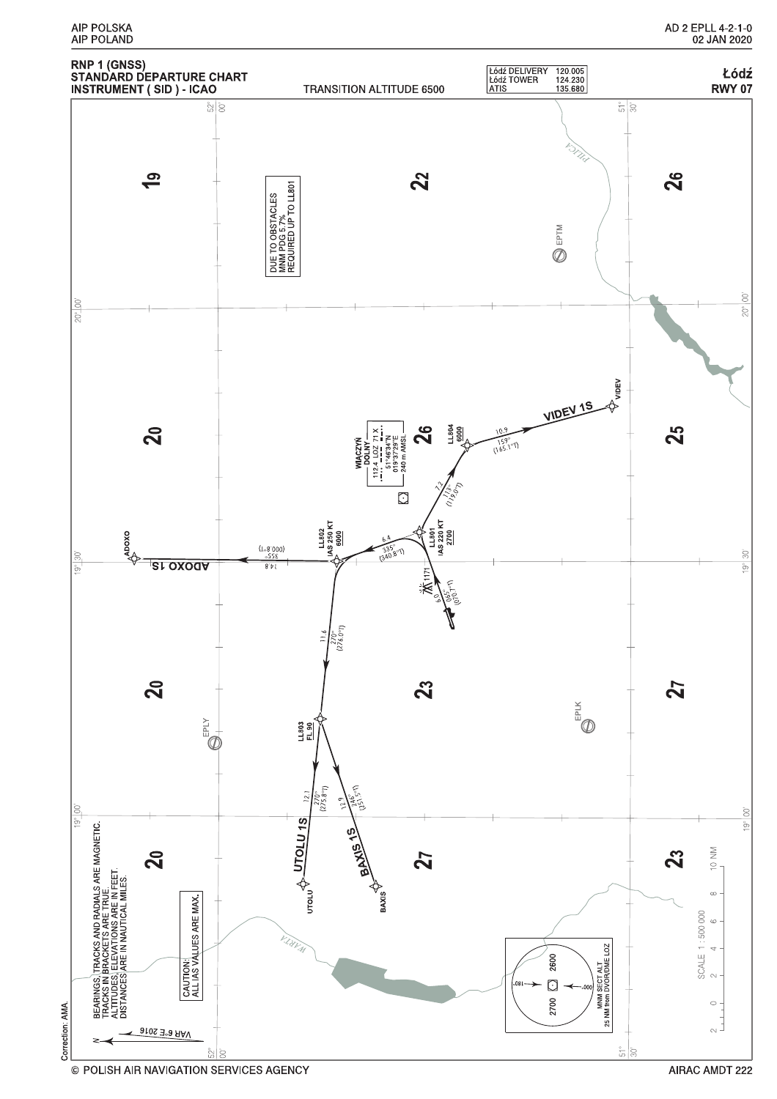